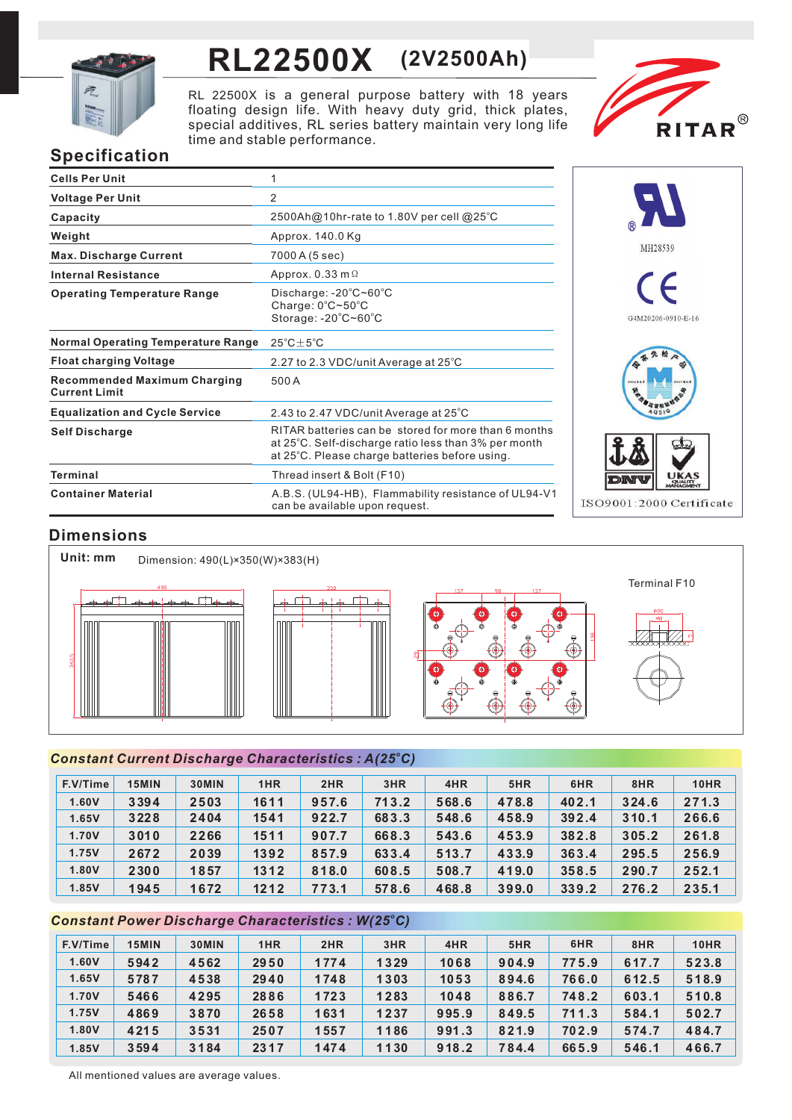

# **RL22500X (2V2500Ah)**

RL 22500X is a general purpose battery with 18 years floating design life. With heavy duty grid, thick plates, special additives, RL series battery maintain very long life time and stable performance.



# **Specification**

| <b>Cells Per Unit</b>                                       | 1                                                                                                                                                              |
|-------------------------------------------------------------|----------------------------------------------------------------------------------------------------------------------------------------------------------------|
| <b>Voltage Per Unit</b>                                     | $\overline{2}$                                                                                                                                                 |
| Capacity                                                    | $2500$ Ah@10hr-rate to 1.80V per cell @25°C                                                                                                                    |
| Weight                                                      | Approx. 140.0 Kg                                                                                                                                               |
| <b>Max. Discharge Current</b>                               | 7000 A (5 sec)                                                                                                                                                 |
| <b>Internal Resistance</b>                                  | Approx. $0.33$ m $\Omega$                                                                                                                                      |
| <b>Operating Temperature Range</b>                          | Discharge: $-20^{\circ}$ C $-60^{\circ}$ C<br>Charge: $0^{\circ}$ C~50 $^{\circ}$ C<br>Storage: -20°C~60°C                                                     |
| <b>Normal Operating Temperature Range</b>                   | $25^{\circ}$ C $\pm$ 5 $^{\circ}$ C                                                                                                                            |
| <b>Float charging Voltage</b>                               | 2.27 to 2.3 VDC/unit Average at 25°C                                                                                                                           |
| <b>Recommended Maximum Charging</b><br><b>Current Limit</b> | 500 A                                                                                                                                                          |
| <b>Equalization and Cycle Service</b>                       | 2.43 to 2.47 VDC/unit Average at 25°C                                                                                                                          |
| <b>Self Discharge</b>                                       | RITAR batteries can be stored for more than 6 months<br>at 25°C. Self-discharge ratio less than 3% per month<br>at 25°C. Please charge batteries before using. |
| Terminal                                                    | Thread insert & Bolt (F10)                                                                                                                                     |
| <b>Container Material</b>                                   | A.B.S. (UL94-HB), Flammability resistance of UL94-V1<br>can be available upon request.                                                                         |



# **Dimensions**



## *<sup>o</sup> Constant Current Discharge Characteristics : A(25 C)*

| F.V/Time | 15MIN | 30MIN | 1HR  | 2HR   | 3HR   | 4HR   | 5HR   | 6HR   | 8HR   | <b>10HR</b> |
|----------|-------|-------|------|-------|-------|-------|-------|-------|-------|-------------|
| 1.60V    | 3394  | 2503  | 1611 | 957.6 | 713.2 | 568.6 | 478.8 | 402.1 | 324.6 | 271.3       |
| 1.65V    | 3228  | 2404  | 1541 | 922.7 | 683.3 | 548.6 | 458.9 | 392.4 | 310.1 | 266.6       |
| 1.70V    | 3010  | 2266  | 1511 | 907.7 | 668.3 | 543.6 | 453.9 | 382.8 | 305.2 | 261.8       |
| 1.75V    | 2672  | 2039  | 1392 | 857.9 | 633.4 | 513.7 | 433.9 | 363.4 | 295.5 | 256.9       |
| 1.80V    | 2300  | 1857  | 1312 | 818.0 | 608.5 | 508.7 | 419.0 | 358.5 | 290.7 | 252.1       |
| 1.85V    | 1945  | 1672  | 1212 | 773.1 | 578.6 | 468.8 | 399.0 | 339.2 | 276.2 | 235.1       |

## *<sup>o</sup> Constant Power Discharge Characteristics : W(25 C)*

| F.V/Time | 15MIN | 30MIN | 1HR  | 2HR  | 3HR  | 4HR   | 5HR   | 6HR   | 8HR   | <b>10HR</b> |
|----------|-------|-------|------|------|------|-------|-------|-------|-------|-------------|
| 1.60V    | 5942  | 4562  | 2950 | 1774 | 1329 | 1068  | 904.9 | 775.9 | 617.7 | 523.8       |
| 1.65V    | 5787  | 4538  | 2940 | 1748 | 1303 | 1053  | 894.6 | 766.0 | 612.5 | 518.9       |
| 1.70V    | 5466  | 4295  | 2886 | 1723 | 1283 | 1048  | 886.7 | 748.2 | 603.1 | 510.8       |
| 1.75V    | 4869  | 3870  | 2658 | 1631 | 1237 | 995.9 | 849.5 | 711.3 | 584.1 | 502.7       |
| 1.80V    | 4215  | 3531  | 2507 | 1557 | 1186 | 991.3 | 821.9 | 702.9 | 574.7 | 484.7       |
| 1.85V    | 3594  | 3184  | 2317 | 1474 | 1130 | 918.2 | 784.4 | 665.9 | 546.1 | 466.7       |

All mentioned values are average values.